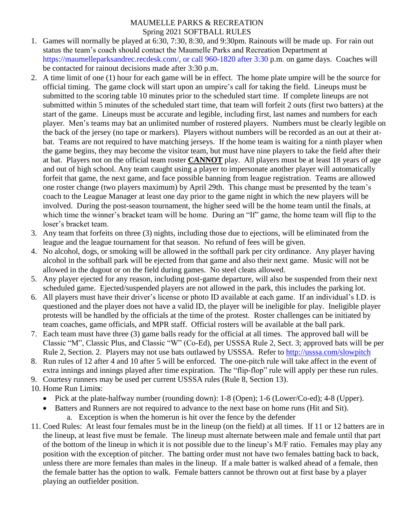## MAUMELLE PARKS & RECREATION Spring 2021 SOFTBALL RULES

- 1. Games will normally be played at 6:30, 7:30, 8:30, and 9:30pm. Rainouts will be made up. For rain out status the team's coach should contact the Maumelle Parks and Recreation Department at [https://maumelleparksandrec.recdesk.com/,](https://maumelleparksandrec.recdesk.com/) or call 960-1820 after 3:30 p.m. on game days. Coaches will be contacted for rainout decisions made after 3:30 p.m.
- 2. A time limit of one (1) hour for each game will be in effect. The home plate umpire will be the source for official timing. The game clock will start upon an umpire's call for taking the field. Lineups must be submitted to the scoring table 10 minutes prior to the scheduled start time. If complete lineups are not submitted within 5 minutes of the scheduled start time, that team will forfeit 2 outs (first two batters) at the start of the game. Lineups must be accurate and legible, including first, last names and numbers for each player. Men's teams may bat an unlimited number of rostered players.Numbers must be clearly legible on the back of the jersey (no tape or markers). Players without numbers will be recorded as an out at their atbat. Teams are not required to have matching jerseys. If the home team is waiting for a ninth player when the game begins, they may become the visitor team, but must have nine players to take the field after their at bat. Players not on the official team roster **CANNOT** play. All players must be at least 18 years of age and out of high school. Any team caught using a player to impersonate another player will automatically forfeit that game, the next game, and face possible banning from league registration. Teams are allowed one roster change (two players maximum) by April 29th. This change must be presented by the team's coach to the League Manager at least one day prior to the game night in which the new players will be involved. During the post-season tournament, the higher seed will be the home team until the finals, at which time the winner's bracket team will be home. During an "If" game, the home team will flip to the loser's bracket team.
- 3. Any team that forfeits on three (3) nights, including those due to ejections, will be eliminated from the league and the league tournament for that season. No refund of fees will be given.
- 4. No alcohol, dogs, or smoking will be allowed in the softball park per city ordinance. Any player having alcohol in the softball park will be ejected from that game and also their next game. Music will not be allowed in the dugout or on the field during games. No steel cleats allowed.
- 5. Any player ejected for any reason, including post-game departure, will also be suspended from their next scheduled game. Ejected/suspended players are not allowed in the park, this includes the parking lot.
- 6. All players must have their driver's license or photo ID available at each game. If an individual's I.D. is questioned and the player does not have a valid ID, the player will be ineligible for play. Ineligible player protests will be handled by the officials at the time of the protest. Roster challenges can be initiated by team coaches, game officials, and MPR staff. Official rosters will be available at the ball park.
- 7. Each team must have three (3) game balls ready for the official at all times. The approved ball will be Classic "M", Classic Plus, and Classic "W" (Co-Ed), per USSSA Rule 2, Sect. 3; approved bats will be per Rule 2, Section. 2. Players may not use bats outlawed by USSSA. Refer to <http://usssa.com/slowpitch>
- 8. Run rules of 12 after 4 and 10 after 5 will be enforced. The one-pitch rule will take affect in the event of extra innings and innings played after time expiration. The "flip-flop" rule will apply per these run rules.
- 9. Courtesy runners may be used per current USSSA rules (Rule 8, Section 13).
- 10. Home Run Limit**s**:
	- Pick at the plate-halfway number (rounding down): 1-8 (Open); 1-6 (Lower/Co-ed); 4-8 (Upper).
		- Batters and Runners are not required to advance to the next base on home runs (Hit and Sit).
			- a. Exception is when the homerun is hit over the fence by the defender
- 11. Coed Rules: At least four females must be in the lineup (on the field) at all times. If 11 or 12 batters are in the lineup, at least five must be female. The lineup must alternate between male and female until that part of the bottom of the lineup in which it is not possible due to the lineup's M/F ratio. Females may play any position with the exception of pitcher. The batting order must not have two females batting back to back, unless there are more females than males in the lineup. If a male batter is walked ahead of a female, then the female batter has the option to walk. Female batters cannot be thrown out at first base by a player playing an outfielder position.